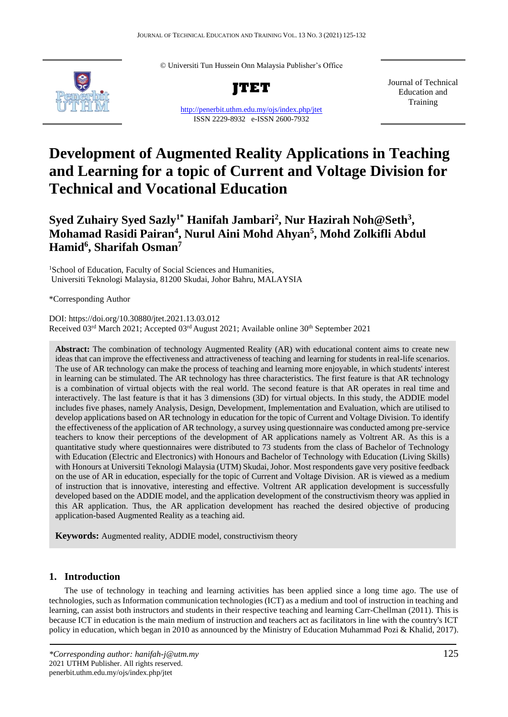© Universiti Tun Hussein Onn Malaysia Publisher's Office



**JTET**

<http://penerbit.uthm.edu.my/ojs/index.php/jtet> ISSN 2229-8932 e-ISSN 2600-7932

Journal of Technical Education and Training

# **Development of Augmented Reality Applications in Teaching and Learning for a topic of Current and Voltage Division for Technical and Vocational Education**

# **Syed Zuhairy Syed Sazly1\* Hanifah Jambari<sup>2</sup> , Nur Hazirah Noh@Seth<sup>3</sup> , Mohamad Rasidi Pairan<sup>4</sup> , Nurul Aini Mohd Ahyan<sup>5</sup> , Mohd Zolkifli Abdul Hamid<sup>6</sup> , Sharifah Osman<sup>7</sup>**

<sup>1</sup>School of Education, Faculty of Social Sciences and Humanities, Universiti Teknologi Malaysia, 81200 Skudai, Johor Bahru, MALAYSIA

\*Corresponding Author

DOI: https://doi.org/10.30880/jtet.2021.13.03.012 Received 03<sup>rd</sup> March 2021; Accepted 03<sup>rd</sup> August 2021; Available online 30<sup>th</sup> September 2021

**Abstract:** The combination of technology Augmented Reality (AR) with educational content aims to create new ideas that can improve the effectiveness and attractiveness of teaching and learning for students in real-life scenarios. The use of AR technology can make the process of teaching and learning more enjoyable, in which students' interest in learning can be stimulated. The AR technology has three characteristics. The first feature is that AR technology is a combination of virtual objects with the real world. The second feature is that AR operates in real time and interactively. The last feature is that it has 3 dimensions (3D) for virtual objects. In this study, the ADDIE model includes five phases, namely Analysis, Design, Development, Implementation and Evaluation, which are utilised to develop applications based on AR technology in education for the topic of Current and Voltage Division. To identify the effectiveness of the application of AR technology, a survey using questionnaire was conducted among pre-service teachers to know their perceptions of the development of AR applications namely as Voltrent AR. As this is a quantitative study where questionnaires were distributed to 73 students from the class of Bachelor of Technology with Education (Electric and Electronics) with Honours and Bachelor of Technology with Education (Living Skills) with Honours at Universiti Teknologi Malaysia (UTM) Skudai, Johor. Most respondents gave very positive feedback on the use of AR in education, especially for the topic of Current and Voltage Division. AR is viewed as a medium of instruction that is innovative, interesting and effective. Voltrent AR application development is successfully developed based on the ADDIE model, and the application development of the constructivism theory was applied in this AR application. Thus, the AR application development has reached the desired objective of producing application-based Augmented Reality as a teaching aid.

**Keywords:** Augmented reality, ADDIE model, constructivism theory

# **1. Introduction**

The use of technology in teaching and learning activities has been applied since a long time ago. The use of technologies, such as Information communication technologies (ICT) as a medium and tool of instruction in teaching and learning, can assist both instructors and students in their respective teaching and learning Carr-Chellman (2011). This is because ICT in education is the main medium of instruction and teachers act as facilitators in line with the country's ICT policy in education, which began in 2010 as announced by the Ministry of Education Muhammad Pozi & Khalid, 2017).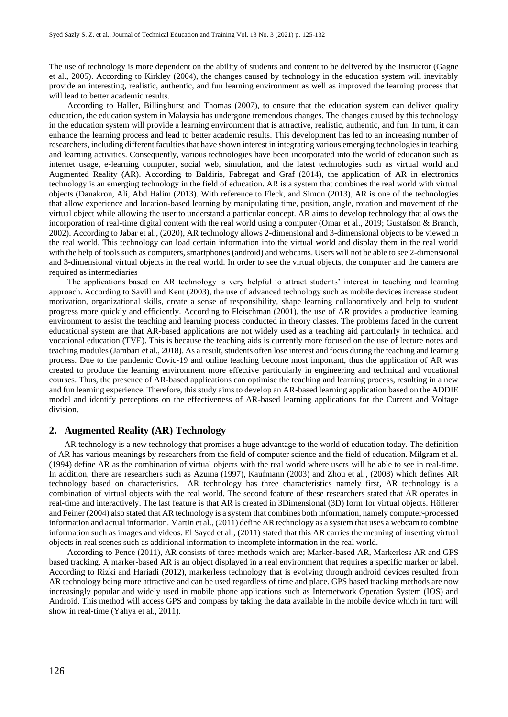The use of technology is more dependent on the ability of students and content to be delivered by the instructor (Gagne et al., 2005). According to Kirkley (2004), the changes caused by technology in the education system will inevitably provide an interesting, realistic, authentic, and fun learning environment as well as improved the learning process that will lead to better academic results.

According to Haller, Billinghurst and Thomas (2007), to ensure that the education system can deliver quality education, the education system in Malaysia has undergone tremendous changes. The changes caused by this technology in the education system will provide a learning environment that is attractive, realistic, authentic, and fun. In turn, it can enhance the learning process and lead to better academic results. This development has led to an increasing number of researchers, including different faculties that have shown interest in integrating various emerging technologies in teaching and learning activities. Consequently, various technologies have been incorporated into the world of education such as internet usage, e-learning computer, social web, simulation, and the latest technologies such as virtual world and Augmented Reality (AR). According to Baldiris, Fabregat and Graf (2014), the application of AR in electronics technology is an emerging technology in the field of education. AR is a system that combines the real world with virtual objects (Danakron, Ali, Abd Halim (2013). With reference to Fleck, and Simon (2013), AR is one of the technologies that allow experience and location-based learning by manipulating time, position, angle, rotation and movement of the virtual object while allowing the user to understand a particular concept. AR aims to develop technology that allows the incorporation of real-time digital content with the real world using a computer (Omar et al., 2019; Gustafson & Branch, 2002). According to Jabar et al., (2020), AR technology allows 2-dimensional and 3-dimensional objects to be viewed in the real world. This technology can load certain information into the virtual world and display them in the real world with the help of tools such as computers, smartphones (android) and webcams. Users will not be able to see 2-dimensional and 3-dimensional virtual objects in the real world. In order to see the virtual objects, the computer and the camera are required as intermediaries

The applications based on AR technology is very helpful to attract students' interest in teaching and learning approach. According to Savill and Kent (2003), the use of advanced technology such as mobile devices increase student motivation, organizational skills, create a sense of responsibility, shape learning collaboratively and help to student progress more quickly and efficiently. According to Fleischman (2001), the use of AR provides a productive learning environment to assist the teaching and learning process conducted in theory classes. The problems faced in the current educational system are that AR-based applications are not widely used as a teaching aid particularly in technical and vocational education (TVE). This is because the teaching aids is currently more focused on the use of lecture notes and teaching modules (Jambari et al., 2018). As a result, students often lose interest and focus during the teaching and learning process. Due to the pandemic Covic-19 and online teaching become most important, thus the application of AR was created to produce the learning environment more effective particularly in engineering and technical and vocational courses. Thus, the presence of AR-based applications can optimise the teaching and learning process, resulting in a new and fun learning experience. Therefore, this study aims to develop an AR-based learning application based on the ADDIE model and identify perceptions on the effectiveness of AR-based learning applications for the Current and Voltage division.

#### **2. Augmented Reality (AR) Technology**

AR technology is a new technology that promises a huge advantage to the world of education today. The definition of AR has various meanings by researchers from the field of computer science and the field of education. Milgram et al. (1994) define AR as the combination of virtual objects with the real world where users will be able to see in real-time. In addition, there are researchers such as Azuma (1997), Kaufmann (2003) and Zhou et al., (2008) which defines AR technology based on characteristics. AR technology has three characteristics namely first, AR technology is a combination of virtual objects with the real world. The second feature of these researchers stated that AR operates in real-time and interactively. The last feature is that AR is created in 3Dimensional (3D) form for virtual objects. Höllerer and Feiner (2004) also stated that AR technology is a system that combines both information, namely computer-processed information and actual information. Martin et al., (2011) define AR technology as a system that uses a webcam to combine information such as images and videos. El Sayed et al., (2011) stated that this AR carries the meaning of inserting virtual objects in real scenes such as additional information to incomplete information in the real world.

According to Pence (2011), AR consists of three methods which are; Marker-based AR, Markerless AR and GPS based tracking. A marker-based AR is an object displayed in a real environment that requires a specific marker or label. According to Rizki and Hariadi (2012), markerless technology that is evolving through android devices resulted from AR technology being more attractive and can be used regardless of time and place. GPS based tracking methods are now increasingly popular and widely used in mobile phone applications such as Internetwork Operation System (IOS) and Android. This method will access GPS and compass by taking the data available in the mobile device which in turn will show in real-time (Yahya et al., 2011).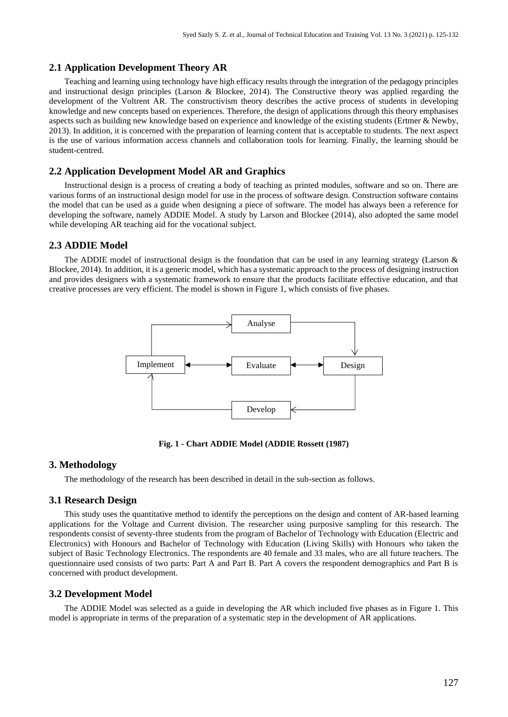# **2.1 Application Development Theory AR**

Teaching and learning using technology have high efficacy results through the integration of the pedagogy principles and instructional design principles (Larson & Blockee, 2014). The Constructive theory was applied regarding the development of the Voltrent AR. The constructivism theory describes the active process of students in developing knowledge and new concepts based on experiences. Therefore, the design of applications through this theory emphasises aspects such as building new knowledge based on experience and knowledge of the existing students (Ertmer & Newby, 2013). In addition, it is concerned with the preparation of learning content that is acceptable to students. The next aspect is the use of various information access channels and collaboration tools for learning. Finally, the learning should be student-centred.

# **2.2 Application Development Model AR and Graphics**

Instructional design is a process of creating a body of teaching as printed modules, software and so on. There are various forms of an instructional design model for use in the process of software design. Construction software contains the model that can be used as a guide when designing a piece of software. The model has always been a reference for developing the software, namely ADDIE Model. A study by Larson and Blockee (2014), also adopted the same model while developing AR teaching aid for the vocational subject.

#### **2.3 ADDIE Model**

The ADDIE model of instructional design is the foundation that can be used in any learning strategy (Larson & Blockee, 2014). In addition, it is a generic model, which has a systematic approach to the process of designing instruction and provides designers with a systematic framework to ensure that the products facilitate effective education, and that creative processes are very efficient. The model is shown in Figure 1, which consists of five phases.



**Fig. 1 - Chart ADDIE Model (ADDIE Rossett (1987)**

#### **3. Methodology**

The methodology of the research has been described in detail in the sub-section as follows.

#### **3.1 Research Design**

This study uses the quantitative method to identify the perceptions on the design and content of AR-based learning applications for the Voltage and Current division. The researcher using purposive sampling for this research. The respondents consist of seventy-three students from the program of Bachelor of Technology with Education (Electric and Electronics) with Honours and Bachelor of Technology with Education (Living Skills) with Honours who taken the subject of Basic Technology Electronics. The respondents are 40 female and 33 males, who are all future teachers. The questionnaire used consists of two parts: Part A and Part B. Part A covers the respondent demographics and Part B is concerned with product development.

#### **3.2 Development Model**

The ADDIE Model was selected as a guide in developing the AR which included five phases as in Figure 1. This model is appropriate in terms of the preparation of a systematic step in the development of AR applications.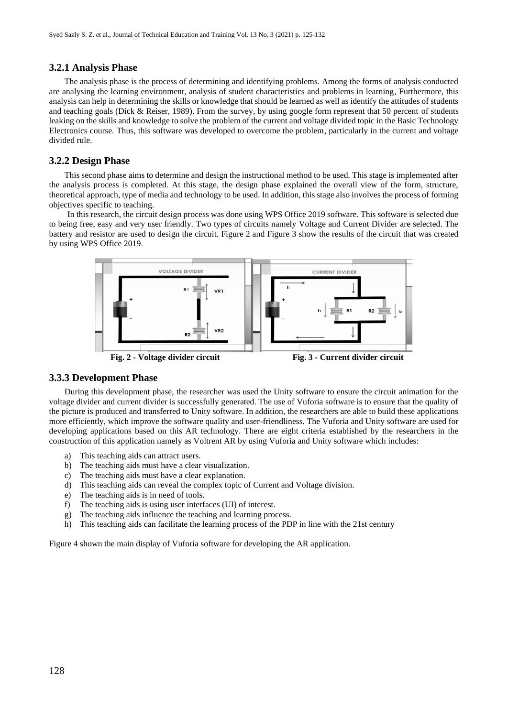#### **3.2.1 Analysis Phase**

The analysis phase is the process of determining and identifying problems. Among the forms of analysis conducted are analysing the learning environment, analysis of student characteristics and problems in learning, Furthermore, this analysis can help in determining the skills or knowledge that should be learned as well as identify the attitudes of students and teaching goals (Dick & Reiser, 1989). From the survey, by using google form represent that 50 percent of students leaking on the skills and knowledge to solve the problem of the current and voltage divided topic in the Basic Technology Electronics course. Thus, this software was developed to overcome the problem, particularly in the current and voltage divided rule.

#### **3.2.2 Design Phase**

This second phase aims to determine and design the instructional method to be used. This stage is implemented after the analysis process is completed. At this stage, the design phase explained the overall view of the form, structure, theoretical approach, type of media and technology to be used. In addition, this stage also involves the process of forming objectives specific to teaching.

In this research, the circuit design process was done using WPS Office 2019 software. This software is selected due to being free, easy and very user friendly. Two types of circuits namely Voltage and Current Divider are selected. The battery and resistor are used to design the circuit. Figure 2 and Figure 3 show the results of the circuit that was created by using WPS Office 2019.



# **3.3.3 Development Phase**

During this development phase, the researcher was used the Unity software to ensure the circuit animation for the voltage divider and current divider is successfully generated. The use of Vuforia software is to ensure that the quality of the picture is produced and transferred to Unity software. In addition, the researchers are able to build these applications more efficiently, which improve the software quality and user-friendliness. The Vuforia and Unity software are used for developing applications based on this AR technology. There are eight criteria established by the researchers in the construction of this application namely as Voltrent AR by using Vuforia and Unity software which includes:

- a) This teaching aids can attract users.
- b) The teaching aids must have a clear visualization.
- c) The teaching aids must have a clear explanation.
- d) This teaching aids can reveal the complex topic of Current and Voltage division.
- e) The teaching aids is in need of tools.
- f) The teaching aids is using user interfaces (UI) of interest.
- g) The teaching aids influence the teaching and learning process.
- h) This teaching aids can facilitate the learning process of the PDP in line with the 21st century

Figure 4 shown the main display of Vuforia software for developing the AR application.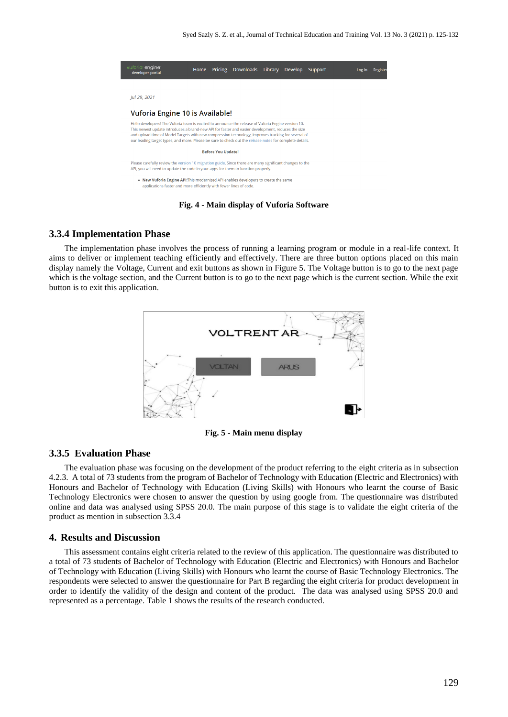|  | vuforia engine<br>developer portal                                                                                                                                                                                                                                                                                                                                                                                                                           | Home | Pricing | Downloads | Library | Develop | Support |  | Log In |  |
|--|--------------------------------------------------------------------------------------------------------------------------------------------------------------------------------------------------------------------------------------------------------------------------------------------------------------------------------------------------------------------------------------------------------------------------------------------------------------|------|---------|-----------|---------|---------|---------|--|--------|--|
|  |                                                                                                                                                                                                                                                                                                                                                                                                                                                              |      |         |           |         |         |         |  |        |  |
|  | Jul 29, 2021                                                                                                                                                                                                                                                                                                                                                                                                                                                 |      |         |           |         |         |         |  |        |  |
|  | Vuforia Engine 10 is Available!<br>Hello developers! The Vuforia team is excited to announce the release of Vuforia Engine version 10.<br>This newest update introduces a brand-new API for faster and easier development, reduces the size<br>and upload time of Model Targets with new compression technology, improves tracking for several of<br>our leading target types, and more. Please be sure to check out the release notes for complete details. |      |         |           |         |         |         |  |        |  |
|  |                                                                                                                                                                                                                                                                                                                                                                                                                                                              |      |         |           |         |         |         |  |        |  |
|  | <b>Before You Update!</b>                                                                                                                                                                                                                                                                                                                                                                                                                                    |      |         |           |         |         |         |  |        |  |
|  | Please carefully review the version 10 migration guide. Since there are many significant changes to the<br>API, you will need to update the code in your apps for them to function properly.                                                                                                                                                                                                                                                                 |      |         |           |         |         |         |  |        |  |
|  | . New Vuforia Engine API: This modernized API enables developers to create the same<br>applications faster and more efficiently with fewer lines of code.                                                                                                                                                                                                                                                                                                    |      |         |           |         |         |         |  |        |  |
|  |                                                                                                                                                                                                                                                                                                                                                                                                                                                              |      |         |           |         |         |         |  |        |  |

#### **Fig. 4 - Main display of Vuforia Software**

#### **3.3.4 Implementation Phase**

The implementation phase involves the process of running a learning program or module in a real-life context. It aims to deliver or implement teaching efficiently and effectively. There are three button options placed on this main display namely the Voltage, Current and exit buttons as shown in Figure 5. The Voltage button is to go to the next page which is the voltage section, and the Current button is to go to the next page which is the current section. While the exit button is to exit this application.



**Fig. 5 - Main menu display**

#### **3.3.5 Evaluation Phase**

The evaluation phase was focusing on the development of the product referring to the eight criteria as in subsection 4.2.3. A total of 73 students from the program of Bachelor of Technology with Education (Electric and Electronics) with Honours and Bachelor of Technology with Education (Living Skills) with Honours who learnt the course of Basic Technology Electronics were chosen to answer the question by using google from. The questionnaire was distributed online and data was analysed using SPSS 20.0. The main purpose of this stage is to validate the eight criteria of the product as mention in subsection 3.3.4

#### **4. Results and Discussion**

This assessment contains eight criteria related to the review of this application. The questionnaire was distributed to a total of 73 students of Bachelor of Technology with Education (Electric and Electronics) with Honours and Bachelor of Technology with Education (Living Skills) with Honours who learnt the course of Basic Technology Electronics. The respondents were selected to answer the questionnaire for Part B regarding the eight criteria for product development in order to identify the validity of the design and content of the product. The data was analysed using SPSS 20.0 and represented as a percentage. Table 1 shows the results of the research conducted.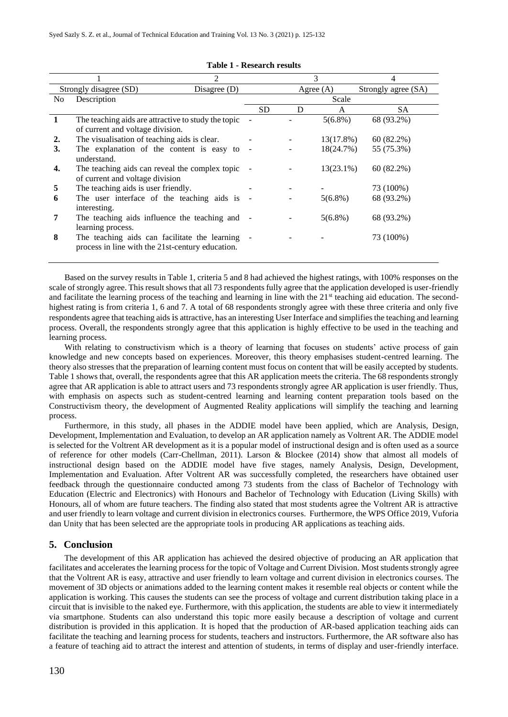|                        |                                                     | 2              |           |       |              |                     |  |
|------------------------|-----------------------------------------------------|----------------|-----------|-------|--------------|---------------------|--|
| Strongly disagree (SD) |                                                     | Disagree $(D)$ |           |       | Agree $(A)$  | Strongly agree (SA) |  |
| No.                    | Description                                         |                |           | Scale |              |                     |  |
|                        |                                                     |                | <b>SD</b> | D     | A            | SА                  |  |
|                        | The teaching aids are attractive to study the topic |                |           |       | $5(6.8\%)$   | 68 (93.2%)          |  |
|                        | of current and voltage division.                    |                |           |       |              |                     |  |
| 2.                     | The visualisation of teaching aids is clear.        |                |           |       | 13(17.8%)    | 60(82.2%)           |  |
| 3.                     | The explanation of the content is easy to           |                |           |       | 18(24.7%)    | 55 (75.3%)          |  |
|                        | understand.                                         |                |           |       |              |                     |  |
| 4.                     | The teaching aids can reveal the complex topic      |                |           |       | $13(23.1\%)$ | $60(82.2\%)$        |  |
|                        | of current and voltage division                     |                |           |       |              |                     |  |
| 5                      | The teaching aids is user friendly.                 |                |           |       |              | 73 (100%)           |  |
| 6                      | The user interface of the teaching aids is          |                |           |       | $5(6.8\%)$   | 68 (93.2%)          |  |
|                        | interesting.                                        |                |           |       |              |                     |  |
| 7                      | The teaching aids influence the teaching and -      |                |           |       | $5(6.8\%)$   | 68 (93.2%)          |  |
|                        | learning process.                                   |                |           |       |              |                     |  |
| 8                      | The teaching aids can facilitate the learning       |                |           |       |              | 73 (100%)           |  |
|                        | process in line with the 21st-century education.    |                |           |       |              |                     |  |
|                        |                                                     |                |           |       |              |                     |  |

#### **Table 1 - Research results**

Based on the survey results in Table 1, criteria 5 and 8 had achieved the highest ratings, with 100% responses on the scale of strongly agree. This result shows that all 73 respondents fully agree that the application developed is user-friendly and facilitate the learning process of the teaching and learning in line with the 21<sup>st</sup> teaching aid education. The secondhighest rating is from criteria 1, 6 and 7. A total of 68 respondents strongly agree with these three criteria and only five respondents agree that teaching aids is attractive, has an interesting User Interface and simplifies the teaching and learning process. Overall, the respondents strongly agree that this application is highly effective to be used in the teaching and learning process.

With relating to constructivism which is a theory of learning that focuses on students' active process of gain knowledge and new concepts based on experiences. Moreover, this theory emphasises student-centred learning. The theory also stresses that the preparation of learning content must focus on content that will be easily accepted by students. Table 1 shows that, overall, the respondents agree that this AR application meets the criteria. The 68 respondents strongly agree that AR application is able to attract users and 73 respondents strongly agree AR application is user friendly. Thus, with emphasis on aspects such as student-centred learning and learning content preparation tools based on the Constructivism theory, the development of Augmented Reality applications will simplify the teaching and learning process.

Furthermore, in this study, all phases in the ADDIE model have been applied, which are Analysis, Design, Development, Implementation and Evaluation, to develop an AR application namely as Voltrent AR. The ADDIE model is selected for the Voltrent AR development as it is a popular model of instructional design and is often used as a source of reference for other models (Carr-Chellman, 2011). Larson & Blockee (2014) show that almost all models of instructional design based on the ADDIE model have five stages, namely Analysis, Design, Development, Implementation and Evaluation. After Voltrent AR was successfully completed, the researchers have obtained user feedback through the questionnaire conducted among 73 students from the class of Bachelor of Technology with Education (Electric and Electronics) with Honours and Bachelor of Technology with Education (Living Skills) with Honours, all of whom are future teachers. The finding also stated that most students agree the Voltrent AR is attractive and user friendly to learn voltage and current division in electronics courses. Furthermore, the WPS Office 2019, Vuforia dan Unity that has been selected are the appropriate tools in producing AR applications as teaching aids.

# **5. Conclusion**

The development of this AR application has achieved the desired objective of producing an AR application that facilitates and accelerates the learning process for the topic of Voltage and Current Division. Most students strongly agree that the Voltrent AR is easy, attractive and user friendly to learn voltage and current division in electronics courses. The movement of 3D objects or animations added to the learning content makes it resemble real objects or content while the application is working. This causes the students can see the process of voltage and current distribution taking place in a circuit that is invisible to the naked eye. Furthermore, with this application, the students are able to view it intermediately via smartphone. Students can also understand this topic more easily because a description of voltage and current distribution is provided in this application. It is hoped that the production of AR-based application teaching aids can facilitate the teaching and learning process for students, teachers and instructors. Furthermore, the AR software also has a feature of teaching aid to attract the interest and attention of students, in terms of display and user-friendly interface.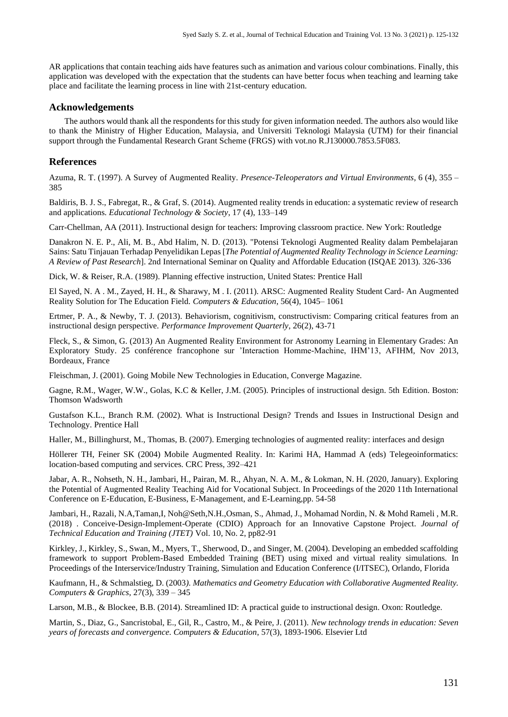AR applications that contain teaching aids have features such as animation and various colour combinations. Finally, this application was developed with the expectation that the students can have better focus when teaching and learning take place and facilitate the learning process in line with 21st-century education.

#### **Acknowledgements**

The authors would thank all the respondents for this study for given information needed. The authors also would like to thank the Ministry of Higher Education, Malaysia, and Universiti Teknologi Malaysia (UTM) for their financial support through the Fundamental Research Grant Scheme (FRGS) with vot.no R.J130000.7853.5F083.

#### **References**

Azuma, R. T. (1997). A Survey of Augmented Reality. *Presence-Teleoperators and Virtual Environments*, 6 (4), 355 – 385

Baldiris, B. J. S., Fabregat, R., & Graf, S. (2014). Augmented reality trends in education: a systematic review of research and applications*. Educational Technology & Society*, 17 (4), 133–149

Carr-Chellman, AA (2011). Instructional design for teachers: Improving classroom practice. New York: Routledge

Danakron N. E. P., Ali, M. B., Abd Halim, N. D. (2013). "Potensi Teknologi Augmented Reality dalam Pembelajaran Sains: Satu Tinjauan Terhadap Penyelidikan Lepas [*The Potential of Augmented Reality Technology in Science Learning: A Review of Past Research*]. 2nd International Seminar on Quality and Affordable Education (ISQAE 2013). 326-336

Dick, W. & Reiser, R.A. (1989). Planning effective instruction, United States: Prentice Hall

El Sayed, N. A . M., Zayed, H. H., & Sharawy, M . I. (2011). ARSC: Augmented Reality Student Card- An Augmented Reality Solution for The Education Field. *Computers & Education*, 56(4), 1045– 1061

Ertmer, P. A., & Newby, T. J. (2013). Behaviorism, cognitivism, constructivism: Comparing critical features from an instructional design perspective*. Performance Improvement Quarterly*, 26(2), 43-71

Fleck, S., & Simon, G. (2013) An Augmented Reality Environment for Astronomy Learning in Elementary Grades: An Exploratory Study. 25 conférence francophone sur 'Interaction Homme-Machine, IHM'13, AFIHM, Nov 2013, Bordeaux, France

Fleischman, J. (2001). Going Mobile New Technologies in Education, Converge Magazine.

Gagne, R.M., Wager, W.W., Golas, K.C & Keller, J.M. (2005). Principles of instructional design. 5th Edition. Boston: Thomson Wadsworth

Gustafson K.L., Branch R.M. (2002). What is Instructional Design? Trends and Issues in Instructional Design and Technology. Prentice Hall

Haller, M., Billinghurst, M., Thomas, B. (2007). Emerging technologies of augmented reality: interfaces and design

Höllerer TH, Feiner SK (2004) Mobile Augmented Reality. In: Karimi HA, Hammad A (eds) Telegeoinformatics: location-based computing and services. CRC Press, 392–421

Jabar, A. R., Nohseth, N. H., Jambari, H., Pairan, M. R., Ahyan, N. A. M., & Lokman, N. H. (2020, January). Exploring the Potential of Augmented Reality Teaching Aid for Vocational Subject. In Proceedings of the 2020 11th International Conference on E-Education, E-Business, E-Management, and E-Learning,pp. 54-58

Jambari, H., Razali, N.A,Taman,I, Noh@Seth,N.H.,Osman, S., Ahmad, J., Mohamad Nordin, N. & Mohd Rameli , M.R. (2018) . Conceive-Design-Implement-Operate (CDIO) Approach for an Innovative Capstone Project*. Journal of Technical Education and Training (JTET)* Vol. 10, No. 2, pp82-91

Kirkley, J., Kirkley, S., Swan, M., Myers, T., Sherwood, D., and Singer, M. (2004). Developing an embedded scaffolding framework to support Problem-Based Embedded Training (BET) using mixed and virtual reality simulations. In Proceedings of the Interservice/Industry Training, Simulation and Education Conference (I/ITSEC), Orlando, Florida

Kaufmann, H., & Schmalstieg, D. (2003*). Mathematics and Geometry Education with Collaborative Augmented Reality. Computers & Graphics*, 27(3), 339 – 345

Larson, M.B., & Blockee, B.B. (2014). Streamlined ID: A practical guide to instructional design. Oxon: Routledge.

Martin, S., Diaz, G., Sancristobal, E., Gil, R., Castro, M., & Peire, J. (2011). *New technology trends in education: Seven years of forecasts and convergence. Computers & Education*, 57(3), 1893-1906. Elsevier Ltd